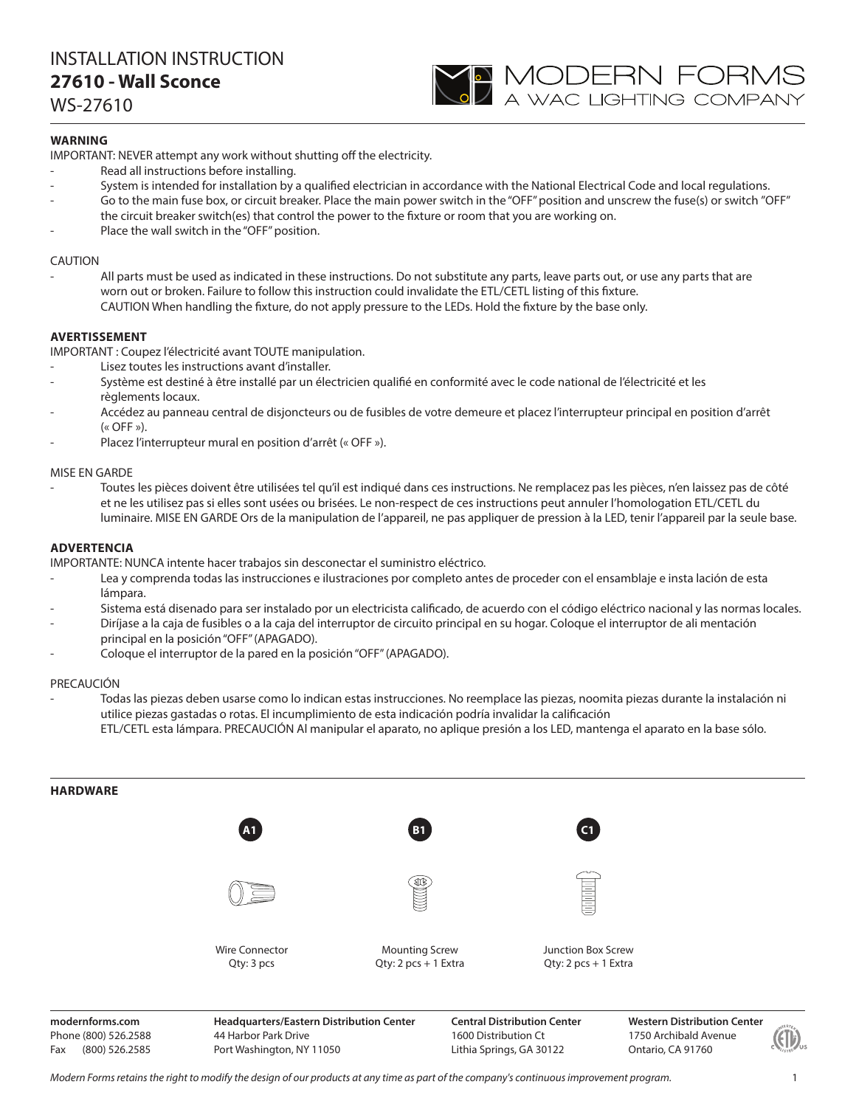# INSTALLATION INSTRUCTION **27610 - Wall Sconce**

WS-27610

## **WARNING**

IMPORTANT: NEVER attempt any work without shutting off the electricity.

- Read all instructions before installing.
- System is intended for installation by a qualified electrician in accordance with the National Electrical Code and local regulations.

**YO MODERN FORMS**<br>A wac lighting company

- Go to the main fuse box, or circuit breaker. Place the main power switch in the "OFF" position and unscrew the fuse(s) or switch "OFF" the circuit breaker switch(es) that control the power to the fixture or room that you are working on.
- Place the wall switch in the "OFF" position.

## CAUTION

All parts must be used as indicated in these instructions. Do not substitute any parts, leave parts out, or use any parts that are worn out or broken. Failure to follow this instruction could invalidate the ETL/CETL listing of this fixture. CAUTION When handling the fixture, do not apply pressure to the LEDs. Hold the fixture by the base only.

## **AVERTISSEMENT**

IMPORTANT : Coupez l'électricité avant TOUTE manipulation.

- Lisez toutes les instructions avant d'installer.
- Système est destiné à être installé par un électricien qualifié en conformité avec le code national de l'électricité et les règlements locaux.
- Accédez au panneau central de disjoncteurs ou de fusibles de votre demeure et placez l'interrupteur principal en position d'arrêt  $(\kappa$  OFF »).
- Placez l'interrupteur mural en position d'arrêt (« OFF »).

## MISE EN GARDE

- Toutes les pièces doivent être utilisées tel qu'il est indiqué dans ces instructions. Ne remplacez pas les pièces, n'en laissez pas de côté et ne les utilisez pas si elles sont usées ou brisées. Le non-respect de ces instructions peut annuler l'homologation ETL/CETL du luminaire. MISE EN GARDE Ors de la manipulation de l'appareil, ne pas appliquer de pression à la LED, tenir l'appareil par la seule base.

## **ADVERTENCIA**

IMPORTANTE: NUNCA intente hacer trabajos sin desconectar el suministro eléctrico.

- Lea y comprenda todas las instrucciones e ilustraciones por completo antes de proceder con el ensamblaje e insta lación de esta lámpara.
- Sistema está disenado para ser instalado por un electricista calificado, de acuerdo con el código eléctrico nacional y las normas locales.
- Diríjase a la caja de fusibles o a la caja del interruptor de circuito principal en su hogar. Coloque el interruptor de ali mentación principal en la posición "OFF" (APAGADO).
- Coloque el interruptor de la pared en la posición "OFF" (APAGADO).

#### PRECAUCIÓN

- Todas las piezas deben usarse como lo indican estas instrucciones. No reemplace las piezas, noomita piezas durante la instalación ni utilice piezas gastadas o rotas. El incumplimiento de esta indicación podría invalidar la calificación ETL/CETL esta lámpara. PRECAUCIÓN Al manipular el aparato, no aplique presión a los LED, mantenga el aparato en la base sólo.



**modernforms.com** Phone (800) 526.2588 Fax (800) 526.2585

**Headquarters/Eastern Distribution Center** 44 Harbor Park Drive Port Washington, NY 11050

**Central Distribution Center** 1600 Distribution Ct Lithia Springs, GA 30122

**Western Distribution Center**  1750 Archibald Avenue Ontario, CA 91760